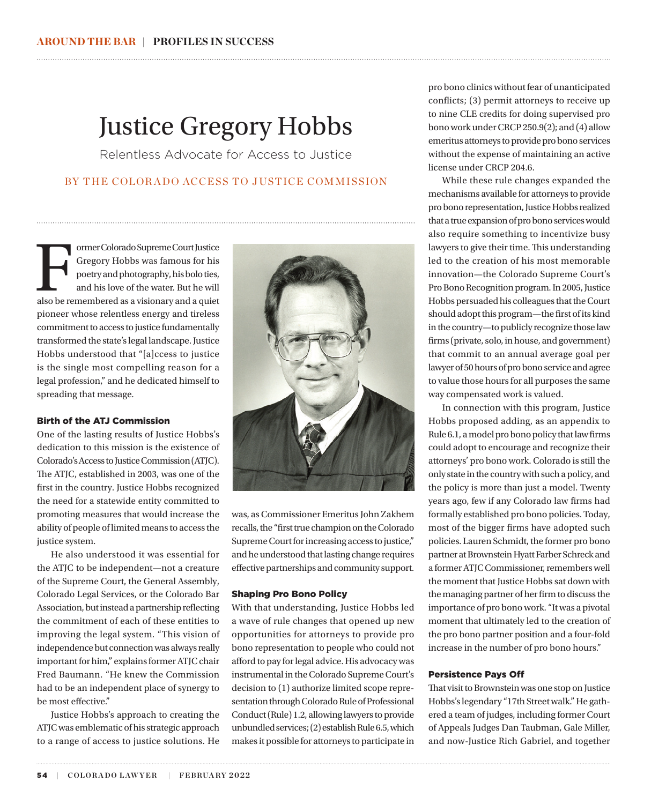# Justice Gregory Hobbs

Relentless Advocate for Access to Justice

# BY THE COLOR ADO ACCESS TO JUSTICE COMMISSION

Former Colorado Supreme Court Justice Gregory Hobbs was famous for his poetry and photography, his bolo ties, and his love of the water. But he will also be remembered as a visionary and a quiet Gregory Hobbs was famous for his poetry and photography, his bolo ties, and his love of the water. But he will pioneer whose relentless energy and tireless commitment to access to justice fundamentally transformed the state's legal landscape. Justice Hobbs understood that "[a]ccess to justice is the single most compelling reason for a legal profession," and he dedicated himself to spreading that message.

## Birth of the ATJ Commission

One of the lasting results of Justice Hobbs's dedication to this mission is the existence of Colorado's Access to Justice Commission (ATJC). The ATJC, established in 2003, was one of the first in the country. Justice Hobbs recognized the need for a statewide entity committed to promoting measures that would increase the ability of people of limited means to access the justice system.

He also understood it was essential for the ATJC to be independent—not a creature of the Supreme Court, the General Assembly, Colorado Legal Services, or the Colorado Bar Association, but instead a partnership reflecting the commitment of each of these entities to improving the legal system. "This vision of independence but connection was always really important for him," explains former ATJC chair Fred Baumann. "He knew the Commission had to be an independent place of synergy to be most effective."

Justice Hobbs's approach to creating the ATJC was emblematic of his strategic approach to a range of access to justice solutions. He



was, as Commissioner Emeritus John Zakhem recalls, the "first true champion on the Colorado Supreme Court for increasing access to justice," and he understood that lasting change requires effective partnerships and community support.

### Shaping Pro Bono Policy

With that understanding, Justice Hobbs led a wave of rule changes that opened up new opportunities for attorneys to provide pro bono representation to people who could not afford to pay for legal advice. His advocacy was instrumental in the Colorado Supreme Court's decision to (1) authorize limited scope representation through Colorado Rule of Professional Conduct (Rule) 1.2, allowing lawyers to provide unbundled services; (2) establish Rule 6.5, which makes it possible for attorneys to participate in

pro bono clinics without fear of unanticipated conflicts; (3) permit attorneys to receive up to nine CLE credits for doing supervised pro bono work under CRCP 250.9(2); and (4) allow emeritus attorneys to provide pro bono services without the expense of maintaining an active license under CRCP 204.6.

While these rule changes expanded the mechanisms available for attorneys to provide pro bono representation, Justice Hobbs realized that a true expansion of pro bono services would also require something to incentivize busy lawyers to give their time. This understanding led to the creation of his most memorable innovation—the Colorado Supreme Court's Pro Bono Recognition program. In 2005, Justice Hobbs persuaded his colleagues that the Court should adopt this program—the first of its kind in the country—to publicly recognize those law firms (private, solo, in house, and government) that commit to an annual average goal per lawyer of 50 hours of pro bono service and agree to value those hours for all purposes the same way compensated work is valued.

In connection with this program, Justice Hobbs proposed adding, as an appendix to Rule 6.1, a model pro bono policy that law firms could adopt to encourage and recognize their attorneys' pro bono work. Colorado is still the only state in the country with such a policy, and the policy is more than just a model. Twenty years ago, few if any Colorado law firms had formally established pro bono policies. Today, most of the bigger firms have adopted such policies. Lauren Schmidt, the former pro bono partner at Brownstein Hyatt Farber Schreck and a former ATJC Commissioner, remembers well the moment that Justice Hobbs sat down with the managing partner of her firm to discuss the importance of pro bono work. "It was a pivotal moment that ultimately led to the creation of the pro bono partner position and a four-fold increase in the number of pro bono hours."

#### Persistence Pays Off

That visit to Brownstein was one stop on Justice Hobbs's legendary "17th Street walk." He gathered a team of judges, including former Court of Appeals Judges Dan Taubman, Gale Miller, and now-Justice Rich Gabriel, and together